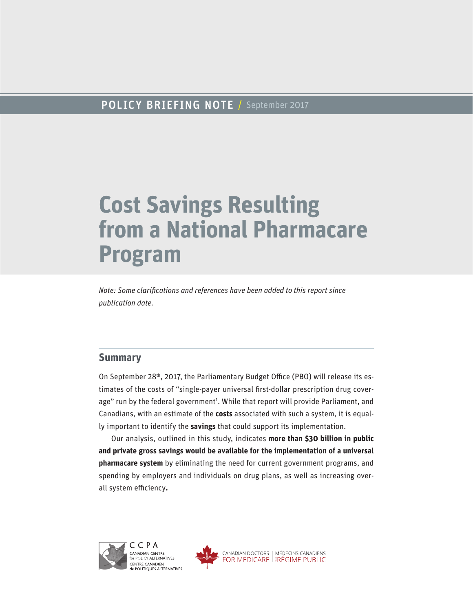# POLICY BRIEFING NOTE / September 2017

# **Cost Savings Resulting from a National Pharmacare Program**

*Note: Some clarifications and references have been added to this report since publication date.*

## **Summary**

On September 28<sup>th</sup>, 2017, the Parliamentary Budget Office (PBO) will release its estimates of the costs of "single-payer universal first-dollar prescription drug coverage" run by the federal government<sup>1</sup>. While that report will provide Parliament, and Canadians, with an estimate of the **costs** associated with such a system, it is equally important to identify the **savings** that could support its implementation.

Our analysis, outlined in this study, indicates **more than \$30 billion in public and private gross savings would be available for the implementation of a universal pharmacare system** by eliminating the need for current government programs, and spending by employers and individuals on drug plans, as well as increasing overall system efficiency**.**



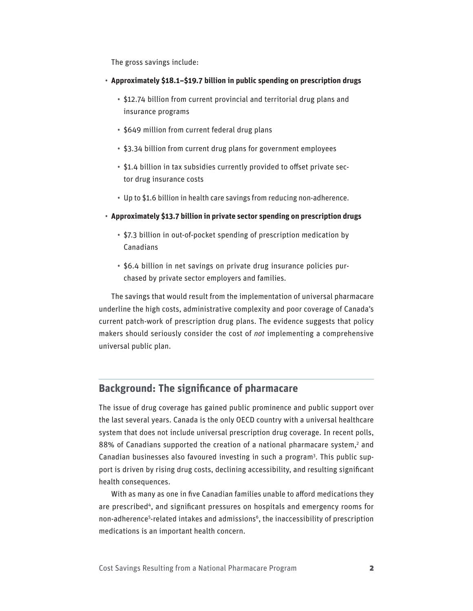The gross savings include:

- **Approximately \$18.1–\$19.7 billion in public spending on prescription drugs**
	- \$12.74 billion from current provincial and territorial drug plans and insurance programs
	- \$649 million from current federal drug plans
	- \$3.34 billion from current drug plans for government employees
	- \$1.4 billion in tax subsidies currently provided to offset private sector drug insurance costs
	- Up to \$1.6 billion in health care savings from reducing non-adherence.
- **Approximately \$13.7 billion in private sector spending on prescription drugs**
	- \$7.3 billion in out-of-pocket spending of prescription medication by Canadians
	- \$6.4 billion in net savings on private drug insurance policies purchased by private sector employers and families.

The savings that would result from the implementation of universal pharmacare underline the high costs, administrative complexity and poor coverage of Canada's current patch-work of prescription drug plans. The evidence suggests that policy makers should seriously consider the cost of *not* implementing a comprehensive universal public plan.

## **Background: The significance of pharmacare**

The issue of drug coverage has gained public prominence and public support over the last several years. Canada is the only OECD country with a universal healthcare system that does not include universal prescription drug coverage. In recent polls, 88% of Canadians supported the creation of a national pharmacare system,<sup>2</sup> and Canadian businesses also favoured investing in such a program<sup>3</sup>. This public support is driven by rising drug costs, declining accessibility, and resulting significant health consequences.

With as many as one in five Canadian families unable to afford medications they are prescribed4, and significant pressures on hospitals and emergency rooms for non-adherence<sup>5</sup>-related intakes and admissions<sup>6</sup>, the inaccessibility of prescription medications is an important health concern.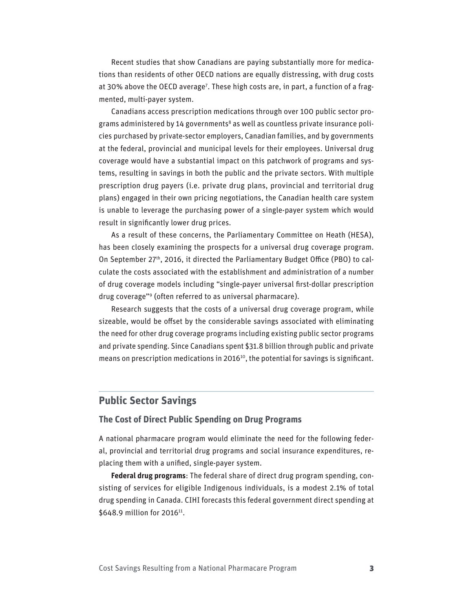Recent studies that show Canadians are paying substantially more for medications than residents of other OECD nations are equally distressing, with drug costs at 30% above the OECD average<sup>7</sup>. These high costs are, in part, a function of a fragmented, multi-payer system.

Canadians access prescription medications through over 100 public sector programs administered by 14 governments<sup>8</sup> as well as countless private insurance policies purchased by private-sector employers, Canadian families, and by governments at the federal, provincial and municipal levels for their employees. Universal drug coverage would have a substantial impact on this patchwork of programs and systems, resulting in savings in both the public and the private sectors. With multiple prescription drug payers (i.e. private drug plans, provincial and territorial drug plans) engaged in their own pricing negotiations, the Canadian health care system is unable to leverage the purchasing power of a single-payer system which would result in significantly lower drug prices.

As a result of these concerns, the Parliamentary Committee on Heath (HESA), has been closely examining the prospects for a universal drug coverage program. On September 27th, 2016, it directed the Parliamentary Budget Office (PBO) to calculate the costs associated with the establishment and administration of a number of drug coverage models including "single-payer universal first-dollar prescription drug coverage"9 (often referred to as universal pharmacare).

Research suggests that the costs of a universal drug coverage program, while sizeable, would be offset by the considerable savings associated with eliminating the need for other drug coverage programs including existing public sector programs and private spending. Since Canadians spent \$31.8 billion through public and private means on prescription medications in 2016<sup>10</sup>, the potential for savings is significant.

## **Public Sector Savings**

#### **The Cost of Direct Public Spending on Drug Programs**

A national pharmacare program would eliminate the need for the following federal, provincial and territorial drug programs and social insurance expenditures, replacing them with a unified, single-payer system.

**Federal drug programs**: The federal share of direct drug program spending, consisting of services for eligible Indigenous individuals, is a modest 2.1% of total drug spending in Canada. CIHI forecasts this federal government direct spending at \$648.9 million for 2016<sup>11</sup>.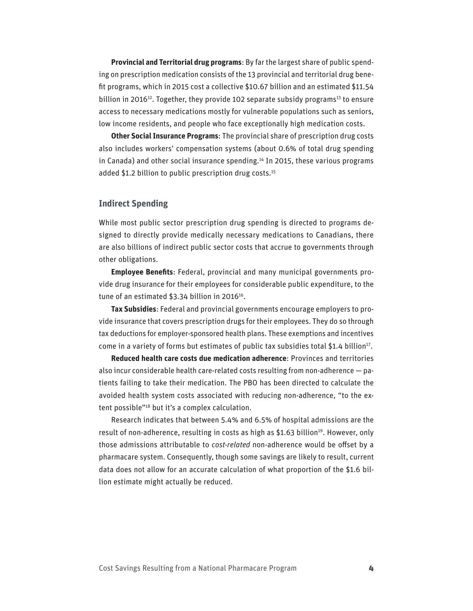**Provincial and Territorial drug programs**: By far the largest share of public spending on prescription medication consists of the 13 provincial and territorial drug benefit programs, which in 2015 cost a collective \$10.67 billion and an estimated \$11.54 billion in 2016<sup>12</sup>. Together, they provide 102 separate subsidy programs<sup>13</sup> to ensure access to necessary medications mostly for vulnerable populations such as seniors, low income residents, and people who face exceptionally high medication costs.

**Other Social Insurance Programs**: The provincial share of prescription drug costs also includes workers' compensation systems (about 0.6% of total drug spending in Canada) and other social insurance spending.<sup>14</sup> In 2015, these various programs added \$1.2 billion to public prescription drug costs.<sup>15</sup>

### **Indirect Spending**

While most public sector prescription drug spending is directed to programs designed to directly provide medically necessary medications to Canadians, there are also billions of indirect public sector costs that accrue to governments through other obligations.

**Employee Benefits**: Federal, provincial and many municipal governments provide drug insurance for their employees for considerable public expenditure, to the tune of an estimated  $$3.34$  billion in 2016<sup>16</sup>.

**Tax Subsidies**: Federal and provincial governments encourage employers to provide insurance that covers prescription drugs for their employees. They do so through tax deductions for employer-sponsored health plans. These exemptions and incentives come in a variety of forms but estimates of public tax subsidies total \$1.4 billion<sup>17</sup>.

**Reduced health care costs due medication adherence**: Provinces and territories also incur considerable health care-related costs resulting from non-adherence — patients failing to take their medication. The PBO has been directed to calculate the avoided health system costs associated with reducing non-adherence, "to the extent possible"18 but it's a complex calculation.

Research indicates that between 5.4% and 6.5% of hospital admissions are the result of non-adherence, resulting in costs as high as \$1.63 billion<sup>19</sup>. However, only those admissions attributable to *cost-related* non-adherence would be offset by a pharmacare system. Consequently, though some savings are likely to result, current data does not allow for an accurate calculation of what proportion of the \$1.6 billion estimate might actually be reduced.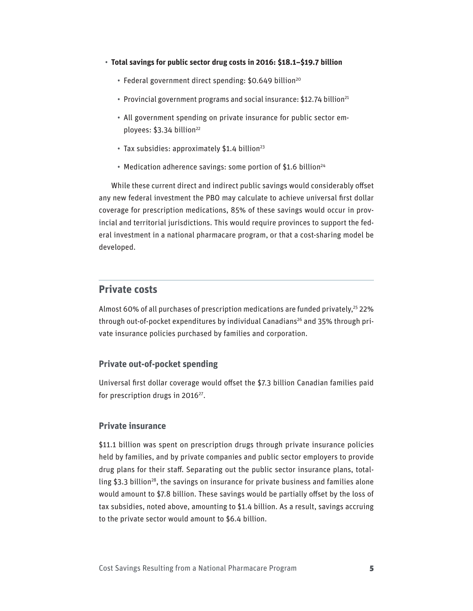- **Total savings for public sector drug costs in 2016: \$18.1–\$19.7 billion**
	- Federal government direct spending: \$0.649 billion<sup>20</sup>
	- Provincial government programs and social insurance: \$12.74 billion<sup>21</sup>
	- All government spending on private insurance for public sector employees: \$3.34 billion<sup>22</sup>
	- $\cdot$  Tax subsidies: approximately \$1.4 billion<sup>23</sup>
	- Medication adherence savings: some portion of \$1.6 billion<sup>24</sup>

While these current direct and indirect public savings would considerably offset any new federal investment the PBO may calculate to achieve universal first dollar coverage for prescription medications, 85% of these savings would occur in provincial and territorial jurisdictions. This would require provinces to support the federal investment in a national pharmacare program, or that a cost-sharing model be developed.

## **Private costs**

Almost 60% of all purchases of prescription medications are funded privately,<sup>25</sup> 22% through out-of-pocket expenditures by individual Canadians<sup>26</sup> and 35% through private insurance policies purchased by families and corporation.

#### **Private out-of-pocket spending**

Universal first dollar coverage would offset the \$7.3 billion Canadian families paid for prescription drugs in 2016<sup>27</sup>.

#### **Private insurance**

\$11.1 billion was spent on prescription drugs through private insurance policies held by families, and by private companies and public sector employers to provide drug plans for their staff. Separating out the public sector insurance plans, totalling \$3.3 billion<sup>28</sup>, the savings on insurance for private business and families alone would amount to \$7.8 billion. These savings would be partially offset by the loss of tax subsidies, noted above, amounting to \$1.4 billion. As a result, savings accruing to the private sector would amount to \$6.4 billion.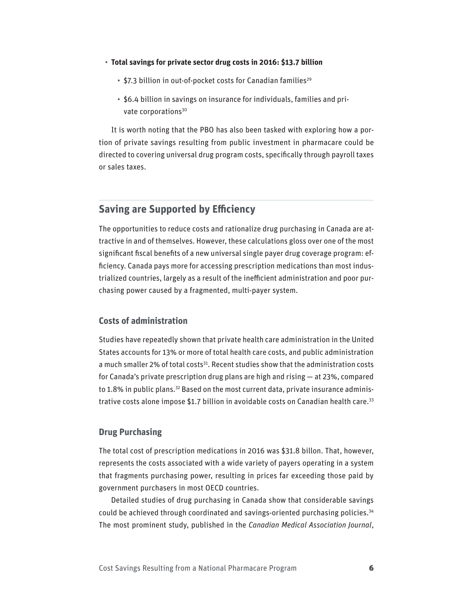- **Total savings for private sector drug costs in 2016: \$13.7 billion**
	- \$7.3 billion in out-of-pocket costs for Canadian families<sup>29</sup>
	- \$6.4 billion in savings on insurance for individuals, families and private corporations<sup>30</sup>

It is worth noting that the PBO has also been tasked with exploring how a portion of private savings resulting from public investment in pharmacare could be directed to covering universal drug program costs, specifically through payroll taxes or sales taxes.

## **Saving are Supported by Efficiency**

The opportunities to reduce costs and rationalize drug purchasing in Canada are attractive in and of themselves. However, these calculations gloss over one of the most significant fiscal benefits of a new universal single payer drug coverage program: efficiency. Canada pays more for accessing prescription medications than most industrialized countries, largely as a result of the inefficient administration and poor purchasing power caused by a fragmented, multi-payer system.

#### **Costs of administration**

Studies have repeatedly shown that private health care administration in the United States accounts for 13% or more of total health care costs, and public administration a much smaller 2% of total costs<sup>31</sup>. Recent studies show that the administration costs for Canada's private prescription drug plans are high and rising — at 23%, compared to 1.8% in public plans.<sup>32</sup> Based on the most current data, private insurance administrative costs alone impose \$1.7 billion in avoidable costs on Canadian health care.<sup>33</sup>

#### **Drug Purchasing**

The total cost of prescription medications in 2016 was \$31.8 billon. That, however, represents the costs associated with a wide variety of payers operating in a system that fragments purchasing power, resulting in prices far exceeding those paid by government purchasers in most OECD countries.

Detailed studies of drug purchasing in Canada show that considerable savings could be achieved through coordinated and savings-oriented purchasing policies.34 The most prominent study, published in the *Canadian Medical Association Journal*,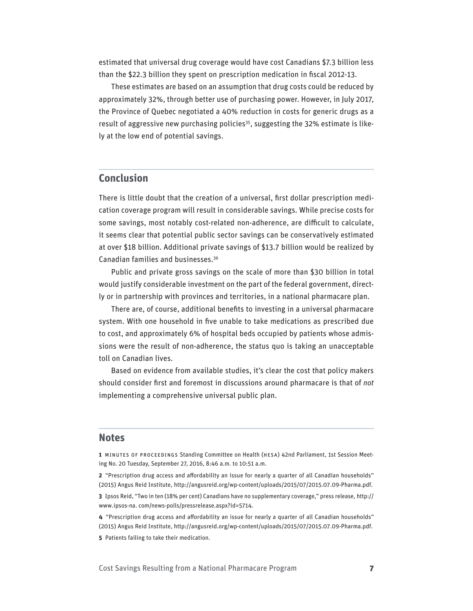estimated that universal drug coverage would have cost Canadians \$7.3 billion less than the \$22.3 billion they spent on prescription medication in fiscal 2012-13.

These estimates are based on an assumption that drug costs could be reduced by approximately 32%, through better use of purchasing power. However, in July 2017, the Province of Quebec negotiated a 40% reduction in costs for generic drugs as a result of aggressive new purchasing policies<sup>35</sup>, suggesting the 32% estimate is likely at the low end of potential savings.

## **Conclusion**

There is little doubt that the creation of a universal, first dollar prescription medication coverage program will result in considerable savings. While precise costs for some savings, most notably cost-related non-adherence, are difficult to calculate, it seems clear that potential public sector savings can be conservatively estimated at over \$18 billion. Additional private savings of \$13.7 billion would be realized by Canadian families and businesses.36

Public and private gross savings on the scale of more than \$30 billion in total would justify considerable investment on the part of the federal government, directly or in partnership with provinces and territories, in a national pharmacare plan.

There are, of course, additional benefits to investing in a universal pharmacare system. With one household in five unable to take medications as prescribed due to cost, and approximately 6% of hospital beds occupied by patients whose admissions were the result of non-adherence, the status quo is taking an unacceptable toll on Canadian lives.

Based on evidence from available studies, it's clear the cost that policy makers should consider first and foremost in discussions around pharmacare is that of *not* implementing a comprehensive universal public plan.

#### **Notes**

**1** MINUTES OF PROCEEDINGS Standing Committee on Health (HESA) 42nd Parliament, 1st Session Meeting No. 20 Tuesday, September 27, 2016, 8:46 a.m. to 10:51 a.m.

**2** "Prescription drug access and affordability an issue for nearly a quarter of all Canadian households" (2015) Angus Reid Institute, http://angusreid.org/wp-content/uploads/2015/07/2015.07.09-Pharma.pdf.

**3** Ipsos Reid, "Two in ten (18% per cent) Canadians have no supplementary coverage," press release, http:// www.ipsos-na. com/news-polls/pressrelease.aspx?id=5714.

**4** "Prescription drug access and affordability an issue for nearly a quarter of all Canadian households" (2015) Angus Reid Institute, http://angusreid.org/wp-content/uploads/2015/07/2015.07.09-Pharma.pdf.

**5** Patients failing to take their medication.

Cost Savings Resulting from a National Pharmacare Program 7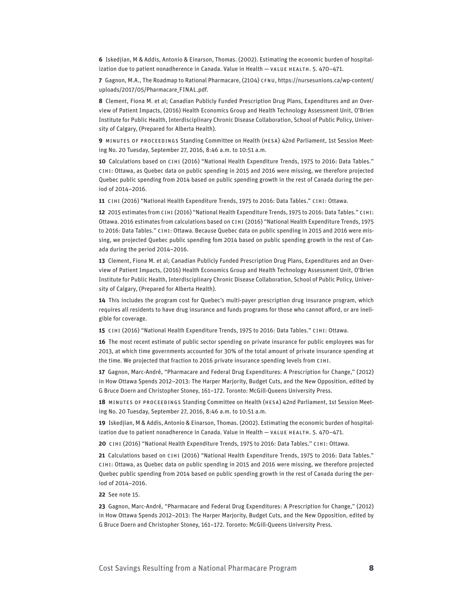**6** Iskedjian, M & Addis, Antonio & Einarson, Thomas. (2002). Estimating the economic burden of hospitalization due to patient nonadherence in Canada. Value in Health — VALUE HEALTH. 5. 470–471.

**7** Gagnon, M.A., The Roadmap to Rational Pharmacare, (2104) CFNU, https://nursesunions.ca/wp-content/ uploads/2017/05/Pharmacare\_FINAL.pdf.

**8** Clement, Fiona M. et al; Canadian Publicly Funded Prescription Drug Plans, Expenditures and an Overview of Patient Impacts, (2016) Health Economics Group and Health Technology Assessment Unit, O'Brien Institute for Public Health, Interdisciplinary Chronic Disease Collaboration, School of Public Policy, University of Calgary, (Prepared for Alberta Health).

**9** MINUTES OF PROCEEDINGS Standing Committee on Health (HESA) 42nd Parliament, 1st Session Meeting No. 20 Tuesday, September 27, 2016, 8:46 a.m. to 10:51 a.m.

**10** Calculations based on CIHI (2016) "National Health Expenditure Trends, 1975 to 2016: Data Tables." CIHI: Ottawa, as Quebec data on public spending in 2015 and 2016 were missing, we therefore projected Quebec public spending from 2014 based on public spending growth in the rest of Canada during the period of 2014–2016.

**11** CIHI (2016) "National Health Expenditure Trends, 1975 to 2016: Data Tables." CIHI: Ottawa.

**12** 2015 estimates from CIHI (2016) "National Health Expenditure Trends, 1975 to 2016: Data Tables." CIHI: Ottawa. 2016 estimates from calculations based on CIHI (2016) "National Health Expenditure Trends, 1975 to 2016: Data Tables." CIHI: Ottawa. Because Quebec data on public spending in 2015 and 2016 were missing, we projected Quebec public spending fom 2014 based on public spending growth in the rest of Canada during the period 2014–2016.

**13** Clement, Fiona M. et al; Canadian Publicly Funded Prescription Drug Plans, Expenditures and an Overview of Patient Impacts, (2016) Health Economics Group and Health Technology Assessment Unit, O'Brien Institute for Public Health, Interdisciplinary Chronic Disease Collaboration, School of Public Policy, University of Calgary, (Prepared for Alberta Health).

**14** This includes the program cost for Quebec's multi-payer prescription drug insurance program, which requires all residents to have drug insurance and funds programs for those who cannot afford, or are ineligible for coverage.

**15** CIHI (2016) "National Health Expenditure Trends, 1975 to 2016: Data Tables." CIHI: Ottawa.

**16** The most recent estimate of public sector spending on private insurance for public employees was for 2013, at which time governments accounted for 30% of the total amount of private insurance spending at the time. We projected that fraction to 2016 private insurance spending levels from CIHI.

**17** Gagnon, Marc-André, "Pharmacare and Federal Drug Expenditures: A Prescription for Change," (2012) in How Ottawa Spends 2012–2013: The Harper Marjority, Budget Cuts, and the New Opposition, edited by G Bruce Doern and Christopher Stoney, 161–172. Toronto: McGill-Queens University Press.

**18** MINUTES OF PROCEEDINGS Standing Committee on Health (HESA) 42nd Parliament, 1st Session Meeting No. 20 Tuesday, September 27, 2016, 8:46 a.m. to 10:51 a.m.

**19** Iskedjian, M & Addis, Antonio & Einarson, Thomas. (2002). Estimating the economic burden of hospitalization due to patient nonadherence in Canada. Value in Health — VALUE HEALTH. 5. 470–471.

**20** CIHI (2016) "National Health Expenditure Trends, 1975 to 2016: Data Tables." CIHI: Ottawa.

**21** Calculations based on CIHI (2016) "National Health Expenditure Trends, 1975 to 2016: Data Tables." CIHI: Ottawa, as Quebec data on public spending in 2015 and 2016 were missing, we therefore projected Quebec public spending from 2014 based on public spending growth in the rest of Canada during the period of 2014–2016.

#### **22** See note 15.

**23** Gagnon, Marc-André, "Pharmacare and Federal Drug Expenditures: A Prescription for Change," (2012) in How Ottawa Spends 2012–2013: The Harper Marjority, Budget Cuts, and the New Opposition, edited by G Bruce Doern and Christopher Stoney, 161–172. Toronto: McGill-Queens University Press.